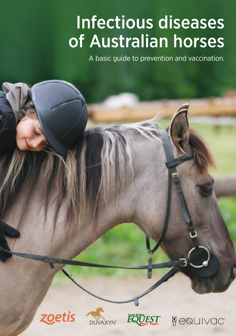# of Australian horses Infectious diseases

A basic guide to prevention and vaccination.

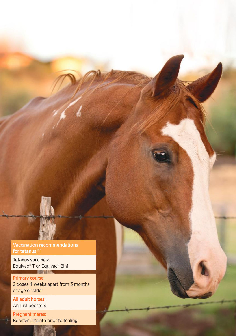

Tetanus vaccines: Equivac<sup>®</sup> T or Equivac<sup>®</sup> 2in1

Primary course: 2 doses 4 weeks apart from 3 months of age or older

All adult horses: Annual boosters

Pregnant mares: Booster 1 month prior to foaling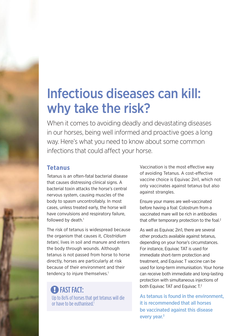# Infectious diseases can kill: why take the risk?

When it comes to avoiding deadly and devastating diseases in our horses, being well informed and proactive goes a long way. Here's what you need to know about some common infections that could affect your horse.

## **Tetanus**

Tetanus is an often-fatal bacterial disease that causes distressing clinical signs. A bacterial toxin attacks the horse's central nervous system, causing muscles of the body to spasm uncontrollably. In most cases, unless treated early, the horse will have convulsions and respiratory failure, followed by death.<sup>1</sup>

The risk of tetanus is widespread because the organism that causes it, *Clostridium tetani*, lives in soil and manure and enters the body through wounds. Although tetanus is not passed from horse to horse directly, horses are particularly at risk because of their environment and their tendency to injure themselves.<sup>1</sup>

# **B** FAST FACT:

Up to 8o% of horses that get tetanus will die or have to be euthanised.1

Vaccination is the most effective way of avoiding Tetanus. A cost-effective vaccine choice is Equivac 2in1, which not only vaccinates against tetanus but also against strangles.

Ensure your mares are well-vaccinated before having a foal: Colostrum from a vaccinated mare will be rich in antibodies that offer temporary protection to the foal.<sup>2</sup>

As well as Equivac 2in1, there are several other products available against tetanus, depending on your horse's circumstances. For instance, Equivac TAT is used for immediate short-term protection and treatment, and Equivac T vaccine can be used for long-term immunisation. Your horse can receive both immediate and long-lasting protection with simultaneous injections of both Equivac TAT and Equivac T.2

As tetanus is found in the environment, it is recommended that all horses be vaccinated against this disease every year.<sup>3</sup>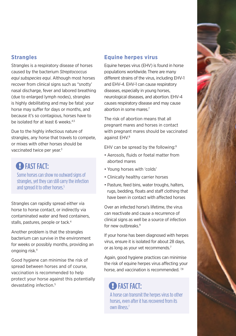

### **Strangles**

Strangles is a respiratory disease of horses caused by the bacterium *Streptococcus equi subspecies equi*. Although most horses recover from clinical signs such as "snotty' nasal discharge, fever and labored breathing (due to enlarged lymph nodes), strangles is highly debilitating and may be fatal: your horse may suffer for days or months, and because it's so contagious, horses have to be isolated for at least 6 weeks.<sup>4,5</sup>

Due to the highly infectious nature of strangles, any horse that travels to compete, or mixes with other horses should be vaccinated twice per year.<sup>3</sup>

## **EXAMPLE FACT:**

Some horses can show no outward signs of strangles, yet they can still carry the infection and spread it to other horses.<sup>5</sup>

Strangles can rapidly spread either via horse to horse contact, or indirectly via contaminated water and feed containers, stalls, pastures, people or tack.<sup>4</sup>

Another problem is that the strangles bacterium can survive in the environment for weeks or possibly months, providing an ongoing risk.4

Good hygiene can minimise the risk of spread between horses and of course, vaccination is recommended to help protect your horse against this potentially devastating infection.5

### **Equine herpes virus**

Equine herpes virus (EHV) is found in horse populations worldwide.There are many different strains of the virus, including EHV-1 and EHV-4. EHV-1 can cause respiratory diseases, especially in young horses, neurological diseases, and abortion. EHV-4 causes respiratory disease and may cause abortion in some mares.7

The risk of abortion means that all pregnant mares and horses in contact with pregnant mares should be vaccinated against EHV.8

EHV can be spread by the following:<sup>9</sup>

- Aerosols, fluids or foetal matter from aborted mares
- Young horses with 'colds'
- Clinically healthy carrier horses
- Pasture, feed bins, water troughs, halters, rugs, bedding, floats and staff clothing that have been in contact with affected horses

Over an infected horse's lifetime, the virus can reactivate and cause a recurrence of clinical signs as well be a source of infection for new outbreaks.<sup>9</sup>

If your horse has been diagnosed with herpes virus, ensure it is isolated for about 28 days, or as long as your vet recommends.<sup>7</sup>

Again, good hygiene practices can minimise the risk of equine herpes virus affecting your horse, and vaccination is recommended.<sup>7,8</sup>

# **EXAMPLE FACT:**

A horse can transmit the herpes virus to other horses, even after it has recovered from its own illness<sup>7</sup>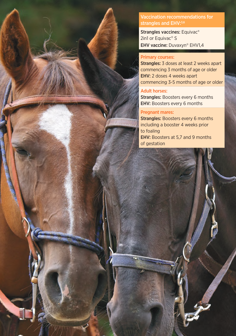Vaccination recommendations for strangles and EHV:<sup>3,6</sup>

Strangles vaccines: Equivac® 2in1 or Equivac<sup>®</sup> S EHV vaccine: Duvaxyn® EHV1,4

#### Primary courses:

Strangles: 3 doses at least 2 weeks apart commencing 3 months of age or older EHV: 2 doses 4 weeks apart commencing 3-5 months of age or older

#### Adult horses:

Strangles: Boosters every 6 months EHV: Boosters every 6 months

#### Pregnant mares:

Strangles: Boosters every 6 months including a booster 4 weeks prior to foaling EHV: Boosters at 5,7 and 9 months of gestation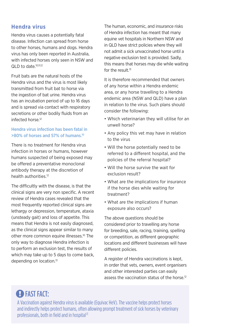### **Hendra virus**

Hendra virus causes a potentially fatal disease. Infection can spread from horse to other horses, humans and dogs. Hendra virus has only been reported in Australia, with infected horses only seen in NSW and  $QI$  D to date  $10,11,12$ 

Fruit bats are the natural hosts of the Hendra virus and the virus is most likely transmitted from fruit bat to horse via the ingestion of bat urine. Hendra virus has an incubation period of up to 16 days and is spread via contact with respiratory secretions or other bodily fluids from an infected horse<sup>12</sup>

### Hendra virus infection has been fatal in >80% of horses and 57% of humans.10

There is no treatment for Hendra virus infection in horses or humans, however humans suspected of being exposed may be offered a preventative monoclonal antibody therapy at the discretion of health authorities.12

The difficultly with the disease, is that the clinical signs are very non specific. A recent review of Hendra cases revealed that the most frequently reported clinical signs are lethargy or depression, temperature, ataxia (unsteady gait) and loss of appetite. This means that Hendra is not easily diagnosed, as the clinical signs appear similar to many other more common equine illnesses.<sup>10</sup> The only way to diagnose Hendra infection is to perform an exclusion test, the results of which may take up to 5 days to come back, depending on location.13

The human, economic, and insurance risks of Hendra infection has meant that many equine vet hospitals in Northern NSW and in QLD have strict policies where they will not admit a sick unvaccinated horse until a negative exclusion test is provided. Sadly, this means that horses may die while waiting for the result<sup>13</sup>

It is therefore recommended that owners of any horse within a Hendra endemic area, or any horse travelling to a Hendra endemic area (NSW and QLD) have a plan in relation to the virus. Such plans should consider the following:

- Which veterinarian they will utilise for an unwell horse?
- Any policy this vet may have in relation to the virus
- Will the horse potentially need to be referred to a different hospital, and the policies of the referral hospital?
- Will the horse survive the wait for exclusion result?
- What are the implications for insurance if the horse dies while waiting for treatment?
- What are the implications if human exposure also occurs?

The above questions should be considered prior to travelling any horse for breeding, sale, racing, training, spelling or competition, as different geographic locations and different businesses will have different policies.

A register of Hendra vaccinations is kept, in order that vets, owners, event organisers and other interested parties can easily assess the vaccination status of the horse.<sup>12</sup>

# **EXAMPLE FACT:**

A Vaccination against Hendra virus is available (Equivac HeV). The vaccine helps protect horses and indirectly helps protect humans, often allowing prompt treatment of sick horses by veterinary professionals, both in field and in hospital<sup>13</sup>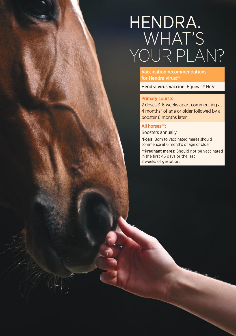# HENDRA. WHAT'S YOUR PLAN?

Vaccination recommendations for Hendra virus:<sup>14</sup>

Hendra virus vaccine: Equivac® HeV

#### Primary course:

2 doses 3-6 weeks apart commencing at 4 months\* of age or older followed by a booster 6 months later.

#### All horses\*\*:

Boosters annually

\*Foals: Born to vaccinated mares should commence at 6 months of age or older

\*\*Pregnant mares: Should not be vaccinated in the first 45 days or the last 2 weeks of gestation.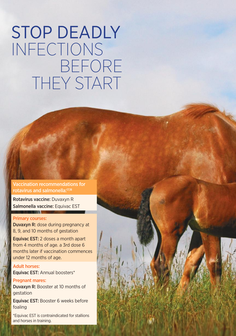# STOP DEADLY INFECTIONS BEFORE THEY START FAST FACTOR CONTROLLER

Vaccination recommendations for rotavirus and salmonella:17,18

Rotavirus vaccine: Duvaxyn R Salmonella vaccine: Equivac EST

#### Primary courses:

Duvaxyn R: dose during pregnancy at 8, 9, and 10 months of gestation

Equivac EST: 2 doses a month apart from 4 months of age. a 3rd dose 6 months later if vaccination commences under 12 months of age.

Adult horses: Equivac EST: Annual boosters\*

Pregnant mares: Duvaxyn R: Booster at 10 months of gestation

Equivac EST: Booster 6 weeks before foaling

\*Equivac EST is contraindicated for stallions and horses in training.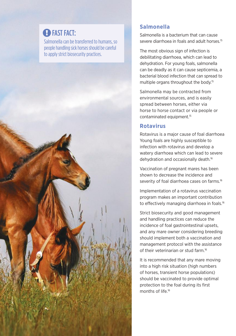# **EXAMPLE FACT:**

Salmonella can be transferred to humans, so people handling sick horses should be careful to apply strict biosecurity practices.



## **Salmonella**

Salmonella is a bacterium that can cause severe diarrhoea in foals and adult horses.<sup>15</sup>

The most obvious sign of infection is debilitating diarrhoea, which can lead to dehydration. For young foals, salmonella can be deadly as it can cause septicemia, a bacterial blood infection that can spread to multiple organs throughout the body.15

Salmonella may be contracted from environmental sources, and is easily spread between horses, either via horse to horse contact or via people or contaminated equipment.15

## **Rotavirus**

Rotavirus is a major cause of foal diarrhoea Young foals are highly susceptible to infection with rotavirus and develop a watery diarrhoea which can lead to severe dehydration and occasionally death.16

Vaccination of pregnant mares has been shown to decrease the incidence and severity of foal diarrhoea cases on farms.<sup>16</sup>

Implementation of a rotavirus vaccination program makes an important contribution to effectively managing diarrhoea in foals.<sup>16</sup>

Strict biosecurity and good management and handling practices can reduce the incidence of foal gastrointestinal upsets, and any mare owner considering breeding should implement both a vaccination and management protocol with the assistance of their veterinarian or stud farm <sup>16</sup>

It is recommended that any mare moving into a high risk situation (high numbers of horses, transient horse populations) should be vaccinated to provide optimal protection to the foal during its first months of life.<sup>16</sup>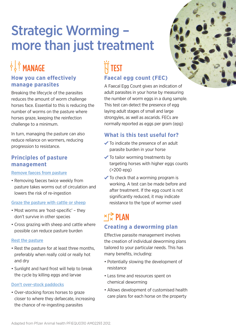# Strategic Worming – more than just treatment

# OF STANDAGE

## **How you can effectively manage parasites**

Breaking the lifecycle of the parasites reduces the amount of worm challenge horses face. Essential to this is reducing the number of worms on the pasture where horses graze, keeping the reinfection challenge to a minimum.

In turn, managing the pasture can also reduce reliance on wormers, reducing progression to resistance.

## **Principles of pasture management**

#### Remove faeces from pasture

• Removing faeces twice weekly from pasture takes worms out of circulation and lowers the risk of re-ingestion

### Graze the pasture with cattle or sheep

- Most worms are 'host-specific' they don't survive in other species
- Cross grazing with sheep and cattle where possible can reduce pasture burden

### Rest the pasture

- Rest the pasture for at least three months, preferably when really cold or really hot and dry
- Sunlight and hard frost will help to break the cycle by killing eggs and larvae

### Don't over-stock paddocks

• Over-stocking forces horses to graze closer to where they defaecate, increasing the chance of re-ingesting parasites

# ..<br>Ti test **Faecal egg count (FEC)**

A Faecal Egg Count gives an indication of adult parasites in your horse by measuring the number of worm eggs in a dung sample. This test can detect the presence of egg laying adult stages of small and large strongyles, as well as ascarids. FECs are normally reported as eggs per gram (epg)

## **What is this test useful for?**

- To indicate the presence of an adult parasite burden in your horse
- $\checkmark$  To tailor worming treatments by targeting horses with higher eggs counts (>200 epg)
- $\checkmark$  To check that a worming program is working. A test can be made before and after treatment. If the egg count is not significantly reduced, it may indicate resistance to the type of wormer used

## $\times \vec{p}$  PLAN **Creating a deworming plan**

Effective parasite management involves the creation of individual deworming plans tailored to your particular needs. This has many benefits, including:

- Potentially slowing the development of resistance
- Less time and resources spent on chemical deworming
- Allows development of customised health care plans for each horse on the property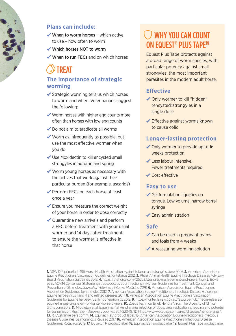### **Plans can include:**

- $\sqrt{\frac{1}{100}}$  When to worm horses which active to use – how often to worm
- Which horses NOT to worm
- When to run FECs and on which horses

# TREAT

### **The importance of strategic worming**

- $\checkmark$  Strategic worming tells us which horses to worm and when. Veterinarians suggest the following:
- Worm horses with higher egg counts more often than horses with low egg counts
- ◆ Do not aim to eradicate all worms
- $\checkmark$  Worm as infrequently as possible, but use the most effective wormer when you do
- Use Moxidectin to kill encysted small strongyles in autumn and spring
- ◆ Worm young horses as necessary with the actives that work against their particular burden (for example, ascarids)
- Perform FECs on each horse at least once a year
- Ensure you measure the correct weight of your horse in order to dose correctly
- ◆ Quarantine new arrivals and perform a FEC before treatment with your usual wormer and 14 days after treatment to ensure the wormer is effective in that horse

# WHY YOU CAN COUNT ON EQUEST® PLUS TAPE<sup>19</sup>

Equest Plus Tape protects against a broad range of worm species, with particular potency against small strongyles, the most important parasites in the modern adult horse.

### **Effective**

- Only wormer to kill "hidden" (encysted)strongyles in a single dose
- Effective against worms known to cause colic

### **Longer-lasting protection**

- ◆ Only wormer to provide up to 16 weeks protection
- Less labour intensive. Fewer treatments required.
- Cost effective

### **Easy to use**

- Gel formulation liquefies on tongue. Low volume, narrow barrel syringe
- $\checkmark$  Easy administration

### **Safe**

- Can be used in pregnant mares and foals from 4 weeks
- $\blacktriangleright$  A reassuring worming solution

1. NSW DPI primefact 495 Horse Health Vaccination against tetanus and strangles June 2007. 2. American Association Equine Practitioners Vaccination Guidelines for tetanus 2012. 3. Pfizer Animal Health Equine Infectious Diseases Advisory Board Vaccination Guidelines 2012. 4. https://thehorse.com/125253/strangles-management-and-prevention/5. Boyle et al. ACVIM Consensus Statement Streptococcus equi Infections in Horses: Guidelines for Treatment, Control, and Prevention of Strangles; *Journal of Veterinary Internal Medicine 2018*. 6. American Association Equine Practitioners Vaccination Guidelines for strangles 2012. 7. American Association Equine Practitioners Infectious Disease Guidelines: Equine herpes virus 1 and 4 and related diseases 2017. 8. American Association Equine Practitioners Vaccination Guidelines for Equine herpesvirus rhinopneumonitis 2012. 9. https://hunter.lls.nsw.gov.au/resource-hub/media-releases/ equine-herpes-virus-alert-for-hunter-horse-owners. **10.** Zoetis Technical Brief: Hendra Virus: The Diversity of Clinical Signs June 2018. 11. Middleton et al. Experimental Hendra virus infection of dogs: virus replication, shedding and potential for transmission, *Australian Veterinary Journal*, 95;1-2:10-18. 12. https://www.vetvoice.com.au/ec/diseases/hendra-virus/. 13. R. L'Estrange pers comm. 14. Equivac HeV product label. 15. American Association Equine Practitioners Infectious Disease Guidelines: Salmonellosis Revised 2017. 16. American Association Equine Practitioners Infectious Disease Guidelines: Rotavirus 2019. 17. Duvaxyn R product label. 18. Equivac EST product label 19. Equest Plus Tape product label.